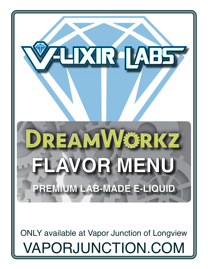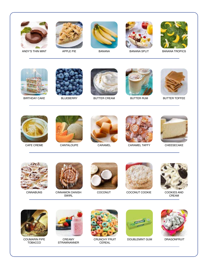



APPLE PIE



BANANA



BANANA SPLIT



BANANA TROPICS



BIRTHDAY CAKE



BLUEBERRY



BUTTER CREAM



BUTTER RUM



BUTTER TOFFEE



CAFE CREME



CANTALOUPE



CARAMEL



CARAMEL TAFFY



CHEESECAKE



CINNABUNS



CINNAMON DANISH SWIRL



COCONUT



COCONUT COOKIE



COOKIES AND CREAM



COUMARIN PIPE TOBACCO



CREAMY STRAWNANNER



CRUNCHY FRUIT CEREAL



DOUBLEMINT GUM DRAGONFRUIT

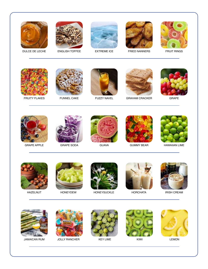



ENGLISH TOFFEE



EXTREME ICE



FRIED NANNERS



FRUIT RINGS



FRUITY FLAKES



FUNNEL CAKE



FUZZY NAVEL



GRAHAM CRACKER



GRAPE



GRAPE APPLE



GRAPE SODA



GUAVA



GUMMY BEAR



HAWAIIAN LIME



HAZELNUT



HONEYDEW



HONEYSUCKLE



HORCHATA



IRISH CREAM





JAMAICAN RUM JOLLY RANCHER KEY LIME KIWI LEMON







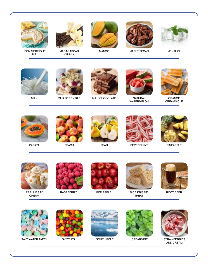

LEON MERINGUE PIE



MADAGASCAR VANILLA



MANGO



MAPLE PECAN



MENTHOL



MILK



MILK BERRY BAR



MILK CHOCOLATE



NATURAL WATERMELON



ORANGE CREAMSICLE



PAPAYA



PEACH



PEAR



PEPPERMINT



PINEAPPLE



PRALINES N' CREAM



**RASPBERRY** 



RED APPLE



RICE KRISPIE TREAT



ROOT BEER



SALT WATER TAFFY SKITTLES SOUTH POLE SPEARMINT STRAWBERRIES



SKITTLES







AND CREAM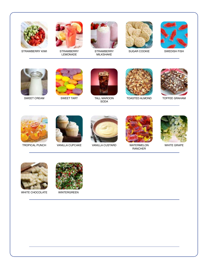

STRAWBERRY KIWI



**STRAWBERRY** LEMONADE



**STRAWBERRY** MILKSHAKE



SUGAR COOKIE



SWEDISH FISH



SWEET CREAM



SWEET TART



TALL MAROON SODA



TOASTED ALMOND



TOFFEE GRAHAM



TROPICAL PUNCH



VANILLA CUPCAKE



VANILLA CUSTARD



WATERMELON RANCHER



WHITE GRAPE



WHITE CHOCOLATE



WINTERGREEN